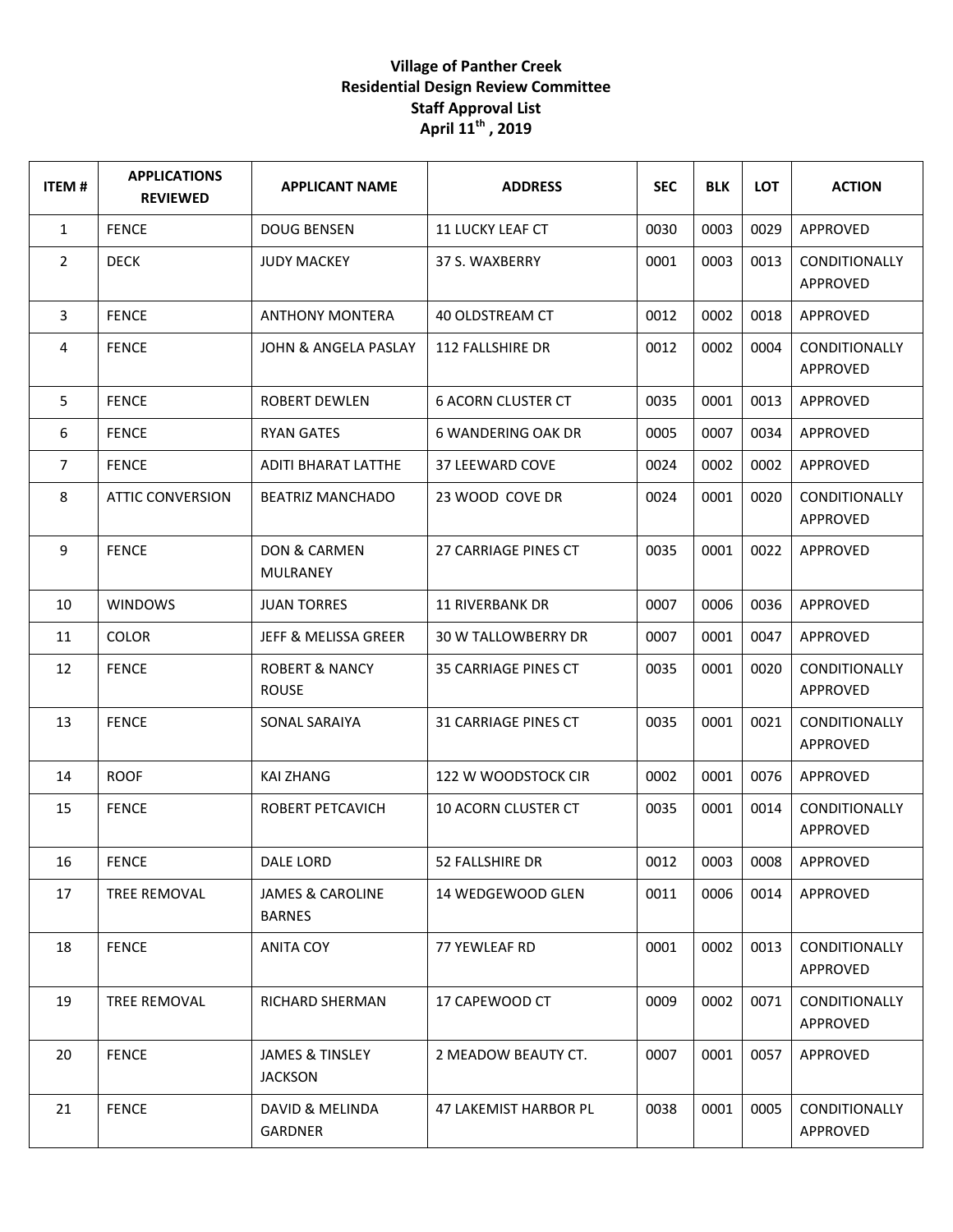## **Village of Panther Creek Residential Design Review Committee Staff Approval List April 11th , 2019**

| <b>ITEM#</b>   | <b>APPLICATIONS</b><br><b>REVIEWED</b> | <b>APPLICANT NAME</b>                        | <b>ADDRESS</b>             | <b>SEC</b> | <b>BLK</b> | LOT  | <b>ACTION</b>                           |
|----------------|----------------------------------------|----------------------------------------------|----------------------------|------------|------------|------|-----------------------------------------|
| $\mathbf{1}$   | <b>FENCE</b>                           | <b>DOUG BENSEN</b>                           | <b>11 LUCKY LEAF CT</b>    | 0030       | 0003       | 0029 | APPROVED                                |
| $\overline{2}$ | <b>DECK</b>                            | <b>JUDY MACKEY</b>                           | 37 S. WAXBERRY             | 0001       | 0003       | 0013 | CONDITIONALLY<br><b>APPROVED</b>        |
| 3              | <b>FENCE</b>                           | <b>ANTHONY MONTERA</b>                       | 40 OLDSTREAM CT            | 0012       | 0002       | 0018 | APPROVED                                |
| 4              | <b>FENCE</b>                           | <b>JOHN &amp; ANGELA PASLAY</b>              | 112 FALLSHIRE DR           | 0012       | 0002       | 0004 | <b>CONDITIONALLY</b><br>APPROVED        |
| 5              | <b>FENCE</b>                           | <b>ROBERT DEWLEN</b>                         | <b>6 ACORN CLUSTER CT</b>  | 0035       | 0001       | 0013 | APPROVED                                |
| 6              | <b>FENCE</b>                           | <b>RYAN GATES</b>                            | 6 WANDERING OAK DR         | 0005       | 0007       | 0034 | <b>APPROVED</b>                         |
| $\overline{7}$ | <b>FENCE</b>                           | <b>ADITI BHARAT LATTHE</b>                   | 37 LEEWARD COVE            | 0024       | 0002       | 0002 | APPROVED                                |
| 8              | <b>ATTIC CONVERSION</b>                | <b>BEATRIZ MANCHADO</b>                      | 23 WOOD COVE DR            | 0024       | 0001       | 0020 | <b>CONDITIONALLY</b><br>APPROVED        |
| 9              | <b>FENCE</b>                           | <b>DON &amp; CARMEN</b><br>MULRANEY          | 27 CARRIAGE PINES CT       | 0035       | 0001       | 0022 | APPROVED                                |
| 10             | <b>WINDOWS</b>                         | <b>JUAN TORRES</b>                           | <b>11 RIVERBANK DR</b>     | 0007       | 0006       | 0036 | APPROVED                                |
| 11             | <b>COLOR</b>                           | <b>JEFF &amp; MELISSA GREER</b>              | <b>30 W TALLOWBERRY DR</b> | 0007       | 0001       | 0047 | APPROVED                                |
| 12             | <b>FENCE</b>                           | <b>ROBERT &amp; NANCY</b><br><b>ROUSE</b>    | 35 CARRIAGE PINES CT       | 0035       | 0001       | 0020 | <b>CONDITIONALLY</b><br>APPROVED        |
| 13             | <b>FENCE</b>                           | SONAL SARAIYA                                | 31 CARRIAGE PINES CT       | 0035       | 0001       | 0021 | <b>CONDITIONALLY</b><br>APPROVED        |
| 14             | <b>ROOF</b>                            | <b>KAI ZHANG</b>                             | 122 W WOODSTOCK CIR        | 0002       | 0001       | 0076 | APPROVED                                |
| 15             | <b>FENCE</b>                           | ROBERT PETCAVICH                             | <b>10 ACORN CLUSTER CT</b> | 0035       | 0001       | 0014 | CONDITIONALLY<br>APPROVED               |
| 16             | <b>FENCE</b>                           | DALE LORD                                    | 52 FALLSHIRE DR            | 0012       | 0003       | 0008 | APPROVED                                |
| 17             | TREE REMOVAL                           | <b>JAMES &amp; CAROLINE</b><br><b>BARNES</b> | 14 WEDGEWOOD GLEN          | 0011       | 0006       | 0014 | APPROVED                                |
| 18             | <b>FENCE</b>                           | <b>ANITA COY</b>                             | 77 YEWLEAF RD              | 0001       | 0002       | 0013 | <b>CONDITIONALLY</b><br><b>APPROVED</b> |
| 19             | TREE REMOVAL                           | RICHARD SHERMAN                              | 17 CAPEWOOD CT             | 0009       | 0002       | 0071 | CONDITIONALLY<br><b>APPROVED</b>        |
| 20             | <b>FENCE</b>                           | <b>JAMES &amp; TINSLEY</b><br><b>JACKSON</b> | 2 MEADOW BEAUTY CT.        | 0007       | 0001       | 0057 | APPROVED                                |
| 21             | <b>FENCE</b>                           | DAVID & MELINDA<br>GARDNER                   | 47 LAKEMIST HARBOR PL      | 0038       | 0001       | 0005 | <b>CONDITIONALLY</b><br>APPROVED        |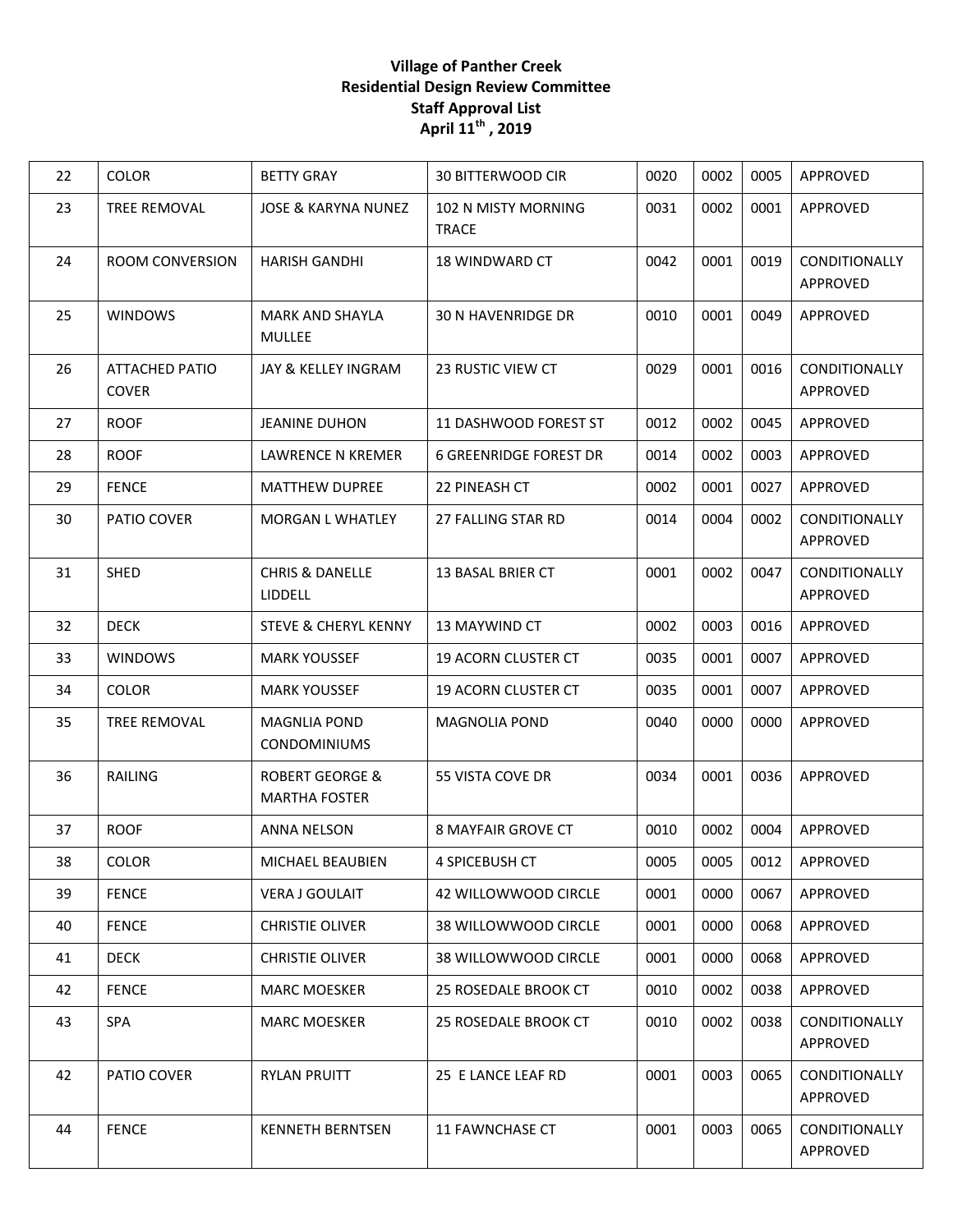## **Village of Panther Creek Residential Design Review Committee Staff Approval List April 11th , 2019**

| 22 | <b>COLOR</b>                          | <b>BETTY GRAY</b>                                  | <b>30 BITTERWOOD CIR</b>            | 0020 | 0002 | 0005 | APPROVED                                |
|----|---------------------------------------|----------------------------------------------------|-------------------------------------|------|------|------|-----------------------------------------|
| 23 | TREE REMOVAL                          | <b>JOSE &amp; KARYNA NUNEZ</b>                     | 102 N MISTY MORNING<br><b>TRACE</b> | 0031 | 0002 | 0001 | APPROVED                                |
| 24 | ROOM CONVERSION                       | <b>HARISH GANDHI</b>                               | <b>18 WINDWARD CT</b>               | 0042 | 0001 | 0019 | CONDITIONALLY<br>APPROVED               |
| 25 | <b>WINDOWS</b>                        | <b>MARK AND SHAYLA</b><br>MULLEE                   | <b>30 N HAVENRIDGE DR</b>           | 0010 | 0001 | 0049 | APPROVED                                |
| 26 | <b>ATTACHED PATIO</b><br><b>COVER</b> | JAY & KELLEY INGRAM                                | 23 RUSTIC VIEW CT                   | 0029 | 0001 | 0016 | CONDITIONALLY<br><b>APPROVED</b>        |
| 27 | <b>ROOF</b>                           | <b>JEANINE DUHON</b>                               | 11 DASHWOOD FOREST ST               | 0012 | 0002 | 0045 | APPROVED                                |
| 28 | <b>ROOF</b>                           | LAWRENCE N KREMER                                  | <b>6 GREENRIDGE FOREST DR</b>       | 0014 | 0002 | 0003 | APPROVED                                |
| 29 | <b>FENCE</b>                          | <b>MATTHEW DUPREE</b>                              | 22 PINEASH CT                       | 0002 | 0001 | 0027 | APPROVED                                |
| 30 | PATIO COVER                           | <b>MORGAN L WHATLEY</b>                            | 27 FALLING STAR RD                  | 0014 | 0004 | 0002 | <b>CONDITIONALLY</b><br>APPROVED        |
| 31 | <b>SHED</b>                           | <b>CHRIS &amp; DANELLE</b><br><b>LIDDELL</b>       | 13 BASAL BRIER CT                   | 0001 | 0002 | 0047 | CONDITIONALLY<br>APPROVED               |
| 32 | <b>DECK</b>                           | <b>STEVE &amp; CHERYL KENNY</b>                    | 13 MAYWIND CT                       | 0002 | 0003 | 0016 | APPROVED                                |
| 33 | <b>WINDOWS</b>                        | <b>MARK YOUSSEF</b>                                | <b>19 ACORN CLUSTER CT</b>          | 0035 | 0001 | 0007 | APPROVED                                |
| 34 | <b>COLOR</b>                          | <b>MARK YOUSSEF</b>                                | <b>19 ACORN CLUSTER CT</b>          | 0035 | 0001 | 0007 | APPROVED                                |
| 35 | TREE REMOVAL                          | <b>MAGNLIA POND</b><br><b>CONDOMINIUMS</b>         | <b>MAGNOLIA POND</b>                | 0040 | 0000 | 0000 | APPROVED                                |
| 36 | RAILING                               | <b>ROBERT GEORGE &amp;</b><br><b>MARTHA FOSTER</b> | 55 VISTA COVE DR                    | 0034 | 0001 | 0036 | APPROVED                                |
| 37 | <b>ROOF</b>                           | <b>ANNA NELSON</b>                                 | <b>8 MAYFAIR GROVE CT</b>           | 0010 | 0002 | 0004 | APPROVED                                |
| 38 | COLOR                                 | MICHAEL BEAUBIEN                                   | 4 SPICEBUSH CT                      | 0005 | 0005 | 0012 | APPROVED                                |
| 39 | <b>FENCE</b>                          | <b>VERA J GOULAIT</b>                              | 42 WILLOWWOOD CIRCLE                | 0001 | 0000 | 0067 | APPROVED                                |
| 40 | <b>FENCE</b>                          | <b>CHRISTIE OLIVER</b>                             | 38 WILLOWWOOD CIRCLE                | 0001 | 0000 | 0068 | APPROVED                                |
| 41 | <b>DECK</b>                           | <b>CHRISTIE OLIVER</b>                             | 38 WILLOWWOOD CIRCLE                | 0001 | 0000 | 0068 | APPROVED                                |
| 42 | <b>FENCE</b>                          | MARC MOESKER                                       | <b>25 ROSEDALE BROOK CT</b>         | 0010 | 0002 | 0038 | APPROVED                                |
| 43 | <b>SPA</b>                            | <b>MARC MOESKER</b>                                | 25 ROSEDALE BROOK CT                | 0010 | 0002 | 0038 | <b>CONDITIONALLY</b><br><b>APPROVED</b> |
| 42 | PATIO COVER                           | <b>RYLAN PRUITT</b>                                | 25 E LANCE LEAF RD                  | 0001 | 0003 | 0065 | <b>CONDITIONALLY</b><br>APPROVED        |
| 44 | <b>FENCE</b>                          | <b>KENNETH BERNTSEN</b>                            | <b>11 FAWNCHASE CT</b>              | 0001 | 0003 | 0065 | CONDITIONALLY<br>APPROVED               |